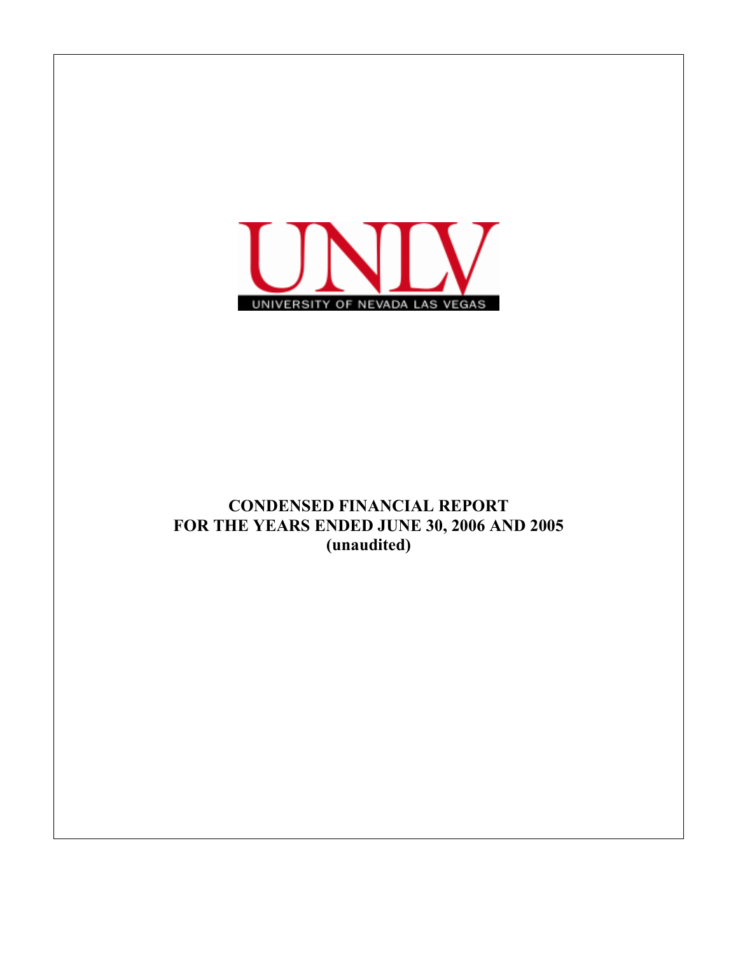

# CONDENSED FINANCIAL REPORT FOR THE YEARS ENDED JUNE 30, 2006 AND 2005 (unaudited)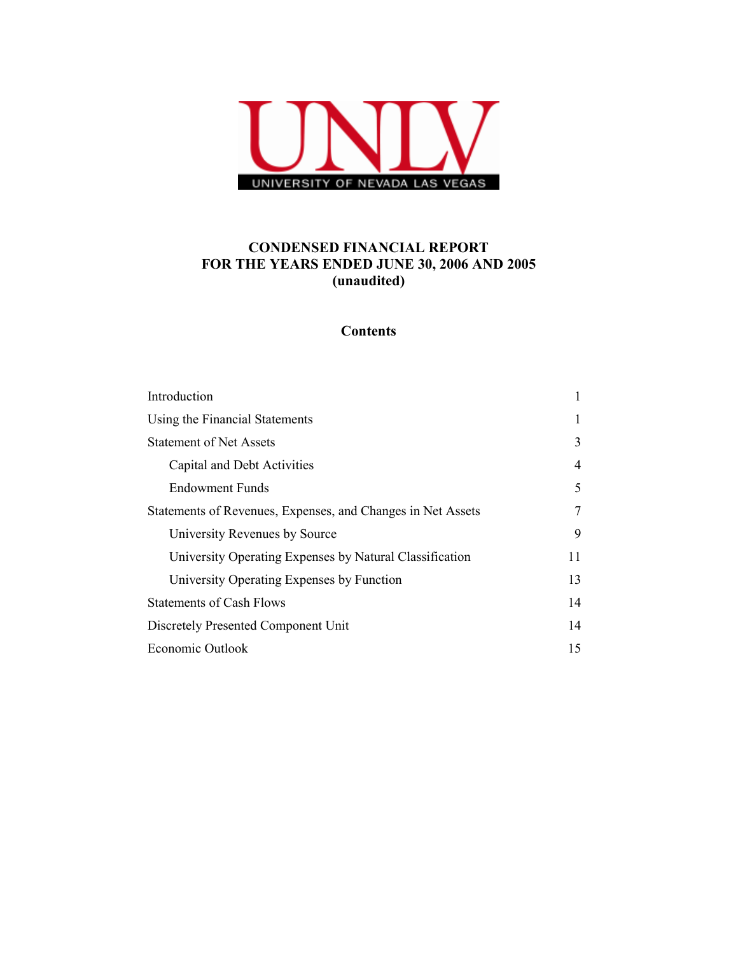

## CONDENSED FINANCIAL REPORT FOR THE YEARS ENDED JUNE 30, 2006 AND 2005 (unaudited)

# **Contents**

| Introduction                                                |    |
|-------------------------------------------------------------|----|
|                                                             | 1  |
| Using the Financial Statements                              | 1  |
| <b>Statement of Net Assets</b>                              | 3  |
| Capital and Debt Activities                                 | 4  |
| <b>Endowment Funds</b>                                      | 5  |
| Statements of Revenues, Expenses, and Changes in Net Assets | 7  |
| University Revenues by Source                               | 9  |
| University Operating Expenses by Natural Classification     | 11 |
| University Operating Expenses by Function                   | 13 |
| <b>Statements of Cash Flows</b>                             | 14 |
| Discretely Presented Component Unit                         | 14 |
| Economic Outlook                                            | 15 |
|                                                             |    |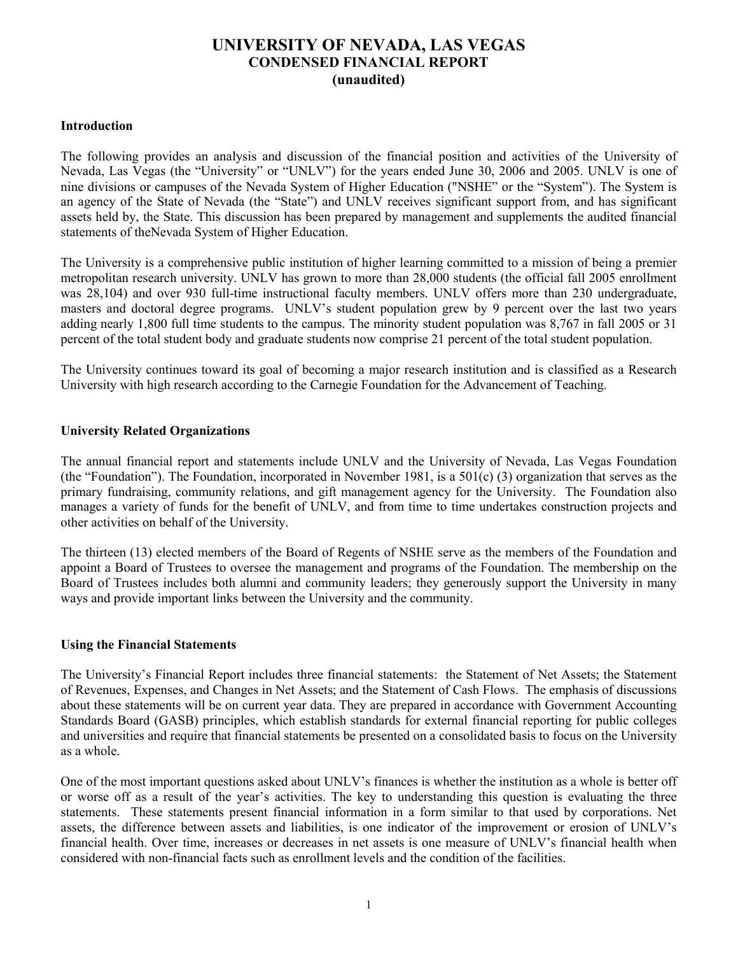## Introduction

The following provides an analysis and discussion of the financial position and activities of the University of Nevada, Las Vegas (the "University" or "UNLV") for the years ended June 30, 2006 and 2005. UNLV is one of nine divisions or campuses of the Nevada System of Higher Education ("NSHE" or the "System"). The System is an agency of the State of Nevada (the "State") and UNLV receives significant support from, and has significant assets held by, the State. This discussion has been prepared by management and supplements the audited financial statements of theNevada System of Higher Education.

The University is a comprehensive public institution of higher learning committed to a mission of being a premier metropolitan research university. UNLV has grown to more than 28,000 students (the official fall 2005 enrollment was 28,104) and over 930 full-time instructional faculty members. UNLV offers more than 230 undergraduate, masters and doctoral degree programs. UNLV's student population grew by 9 percent over the last two years adding nearly 1,800 full time students to the campus. The minority student population was 8,767 in fall 2005 or 31 percent of the total student body and graduate students now comprise 21 percent of the total student population.

The University continues toward its goal of becoming a major research institution and is classified as a Research University with high research according to the Carnegie Foundation for the Advancement of Teaching.

## University Related Organizations

The annual financial report and statements include UNLV and the University of Nevada, Las Vegas Foundation (the "Foundation"). The Foundation, incorporated in November 1981, is a  $501(c)$  (3) organization that serves as the primary fundraising, community relations, and gift management agency for the University. The Foundation also manages a variety of funds for the benefit of UNLV, and from time to time undertakes construction projects and other activities on behalf of the University.

The thirteen (13) elected members of the Board of Regents of NSHE serve as the members of the Foundation and appoint a Board of Trustees to oversee the management and programs of the Foundation. The membership on the Board of Trustees includes both alumni and community leaders; they generously support the University in many ways and provide important links between the University and the community.

## Using the Financial Statements

The University's Financial Report includes three financial statements: the Statement of Net Assets; the Statement of Revenues, Expenses, and Changes in Net Assets; and the Statement of Cash Flows. The emphasis of discussions about these statements will be on current year data. They are prepared in accordance with Government Accounting Standards Board (GASB) principles, which establish standards for external financial reporting for public colleges and universities and require that financial statements be presented on a consolidated basis to focus on the University as a whole.

One of the most important questions asked about UNLV's finances is whether the institution as a whole is better off or worse off as a result of the year's activities. The key to understanding this question is evaluating the three statements. These statements present financial information in a form similar to that used by corporations. Net assets, the difference between assets and liabilities, is one indicator of the improvement or erosion of UNLV's financial health. Over time, increases or decreases in net assets is one measure of UNLV's financial health when considered with non-financial facts such as enrollment levels and the condition of the facilities.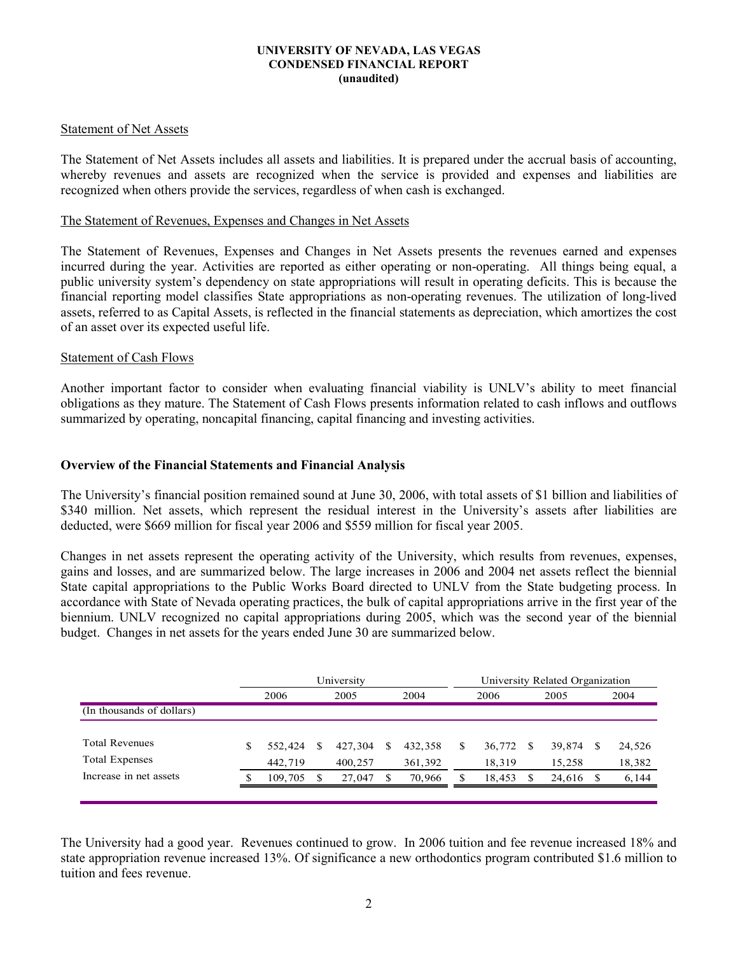## Statement of Net Assets

The Statement of Net Assets includes all assets and liabilities. It is prepared under the accrual basis of accounting, whereby revenues and assets are recognized when the service is provided and expenses and liabilities are recognized when others provide the services, regardless of when cash is exchanged.

### The Statement of Revenues, Expenses and Changes in Net Assets

The Statement of Revenues, Expenses and Changes in Net Assets presents the revenues earned and expenses incurred during the year. Activities are reported as either operating or non-operating. All things being equal, a public university system's dependency on state appropriations will result in operating deficits. This is because the financial reporting model classifies State appropriations as non-operating revenues. The utilization of long-lived assets, referred to as Capital Assets, is reflected in the financial statements as depreciation, which amortizes the cost of an asset over its expected useful life.

### Statement of Cash Flows

Another important factor to consider when evaluating financial viability is UNLV's ability to meet financial obligations as they mature. The Statement of Cash Flows presents information related to cash inflows and outflows summarized by operating, noncapital financing, capital financing and investing activities.

## Overview of the Financial Statements and Financial Analysis

The University's financial position remained sound at June 30, 2006, with total assets of \$1 billion and liabilities of \$340 million. Net assets, which represent the residual interest in the University's assets after liabilities are deducted, were \$669 million for fiscal year 2006 and \$559 million for fiscal year 2005.

Changes in net assets represent the operating activity of the University, which results from revenues, expenses, gains and losses, and are summarized below. The large increases in 2006 and 2004 net assets reflect the biennial State capital appropriations to the Public Works Board directed to UNLV from the State budgeting process. In accordance with State of Nevada operating practices, the bulk of capital appropriations arrive in the first year of the biennium. UNLV recognized no capital appropriations during 2005, which was the second year of the biennial budget. Changes in net assets for the years ended June 30 are summarized below.

|                           |   | University |   |         |   |         |   |        | University Related Organization |        |    |        |  |  |
|---------------------------|---|------------|---|---------|---|---------|---|--------|---------------------------------|--------|----|--------|--|--|
|                           |   | 2006       |   | 2005    |   | 2004    |   | 2006   |                                 | 2005   |    | 2004   |  |  |
| (In thousands of dollars) |   |            |   |         |   |         |   |        |                                 |        |    |        |  |  |
|                           |   |            |   |         |   |         |   |        |                                 |        |    |        |  |  |
| <b>Total Revenues</b>     | S | 552,424    | S | 427.304 | S | 432.358 | S | 36,772 | \$.                             | 39,874 | -S | 24,526 |  |  |
| <b>Total Expenses</b>     |   | 442,719    |   | 400,257 |   | 361,392 |   | 18,319 |                                 | 15,258 |    | 18,382 |  |  |
| Increase in net assets    |   | 109,705    |   | 27.047  |   | 70,966  |   | 18,453 | \$.                             | 24,616 |    | 6,144  |  |  |
|                           |   |            |   |         |   |         |   |        |                                 |        |    |        |  |  |

The University had a good year. Revenues continued to grow. In 2006 tuition and fee revenue increased 18% and state appropriation revenue increased 13%. Of significance a new orthodontics program contributed \$1.6 million to tuition and fees revenue.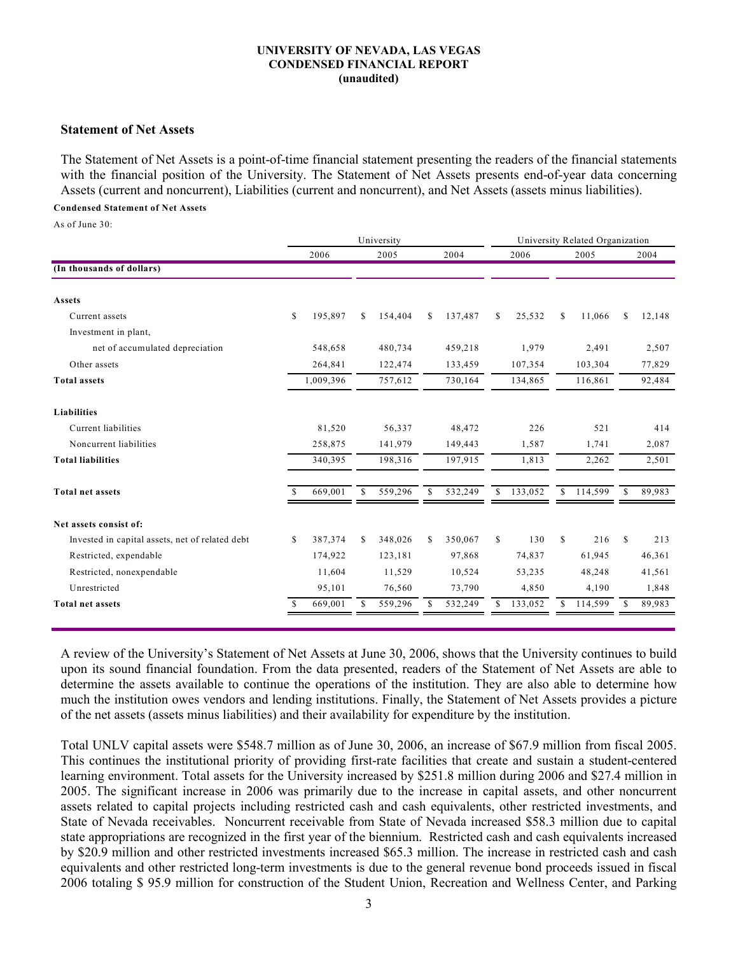#### Statement of Net Assets

The Statement of Net Assets is a point-of-time financial statement presenting the readers of the financial statements with the financial position of the University. The Statement of Net Assets presents end-of-year data concerning Assets (current and noncurrent), Liabilities (current and noncurrent), and Net Assets (assets minus liabilities).

#### Condensed Statement of Net Assets

As of June 30:

|              |           | University |         |               |         | University Related Organization |         |               |         |               |        |
|--------------|-----------|------------|---------|---------------|---------|---------------------------------|---------|---------------|---------|---------------|--------|
|              | 2006      |            | 2005    |               | 2004    |                                 | 2006    |               | 2005    |               | 2004   |
|              |           |            |         |               |         |                                 |         |               |         |               |        |
|              |           |            |         |               |         |                                 |         |               |         |               |        |
| $\mathbb{S}$ | 195,897   | \$         | 154,404 | <sup>\$</sup> | 137,487 | \$                              | 25,532  | \$            | 11,066  | \$            | 12,148 |
|              |           |            |         |               |         |                                 |         |               |         |               |        |
|              | 548,658   |            | 480,734 |               | 459,218 |                                 | 1,979   |               | 2,491   |               | 2,507  |
|              | 264,841   |            | 122,474 |               | 133,459 |                                 | 107,354 |               | 103,304 |               | 77,829 |
|              | 1,009,396 |            | 757,612 |               | 730,164 |                                 | 134,865 |               | 116,861 |               | 92,484 |
|              |           |            |         |               |         |                                 |         |               |         |               |        |
|              | 81,520    |            | 56,337  |               | 48,472  |                                 | 226     |               | 521     |               | 414    |
|              | 258,875   |            | 141,979 |               | 149,443 |                                 | 1,587   |               | 1,741   |               | 2,087  |
|              | 340,395   |            | 198,316 |               | 197,915 |                                 | 1,813   |               | 2,262   |               | 2,501  |
| -S           | 669,001   | S          | 559,296 | S             | 532,249 | \$                              | 133,052 | S             | 114,599 | <sup>\$</sup> | 89,983 |
|              |           |            |         |               |         |                                 |         |               |         |               |        |
| S.           | 387,374   | \$         | 348,026 | \$            | 350,067 | \$                              | 130     | <sup>\$</sup> | 216     | <sup>\$</sup> | 213    |
|              | 174,922   |            | 123,181 |               | 97,868  |                                 | 74,837  |               | 61,945  |               | 46,361 |
|              | 11,604    |            | 11,529  |               | 10,524  |                                 | 53,235  |               | 48,248  |               | 41,561 |
|              | 95,101    |            | 76,560  |               | 73,790  |                                 | 4,850   |               | 4,190   |               | 1,848  |
|              | 669,001   |            | 559,296 |               | 532,249 |                                 | 133,052 | S             | 114,599 |               | 89,983 |
|              |           |            |         |               |         |                                 |         |               |         |               |        |

A review of the University's Statement of Net Assets at June 30, 2006, shows that the University continues to build upon its sound financial foundation. From the data presented, readers of the Statement of Net Assets are able to determine the assets available to continue the operations of the institution. They are also able to determine how much the institution owes vendors and lending institutions. Finally, the Statement of Net Assets provides a picture of the net assets (assets minus liabilities) and their availability for expenditure by the institution.

Total UNLV capital assets were \$548.7 million as of June 30, 2006, an increase of \$67.9 million from fiscal 2005. This continues the institutional priority of providing first-rate facilities that create and sustain a student-centered learning environment. Total assets for the University increased by \$251.8 million during 2006 and \$27.4 million in 2005. The significant increase in 2006 was primarily due to the increase in capital assets, and other noncurrent assets related to capital projects including restricted cash and cash equivalents, other restricted investments, and State of Nevada receivables. Noncurrent receivable from State of Nevada increased \$58.3 million due to capital state appropriations are recognized in the first year of the biennium. Restricted cash and cash equivalents increased by \$20.9 million and other restricted investments increased \$65.3 million. The increase in restricted cash and cash equivalents and other restricted long-term investments is due to the general revenue bond proceeds issued in fiscal 2006 totaling \$ 95.9 million for construction of the Student Union, Recreation and Wellness Center, and Parking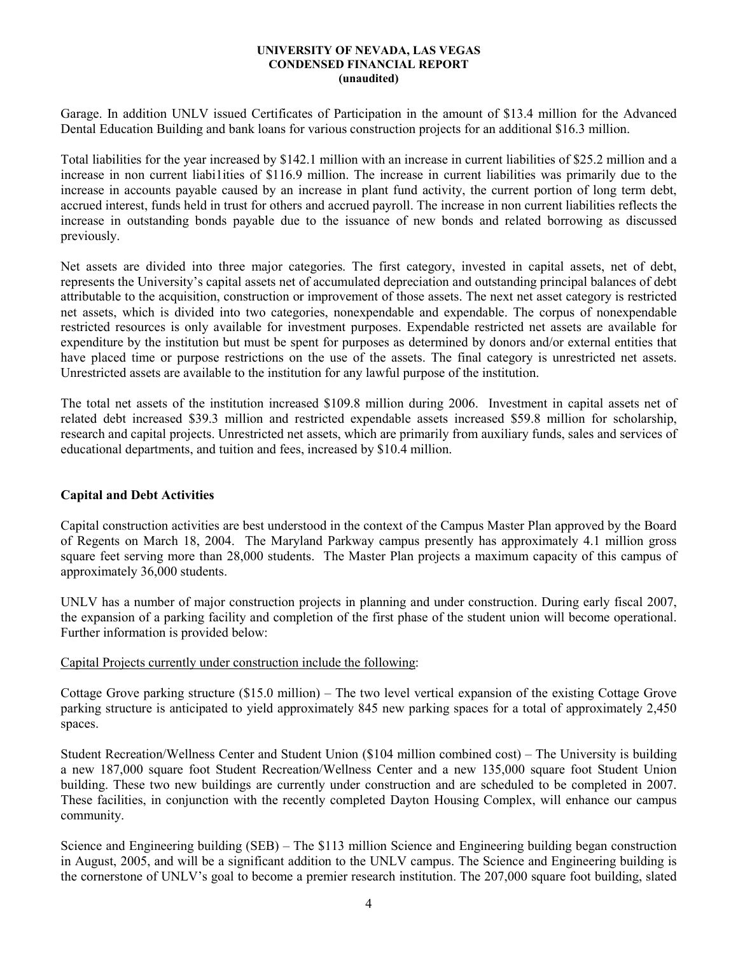Garage. In addition UNLV issued Certificates of Participation in the amount of \$13.4 million for the Advanced Dental Education Building and bank loans for various construction projects for an additional \$16.3 million.

Total liabilities for the year increased by \$142.1 million with an increase in current liabilities of \$25.2 million and a increase in non current liabi1ities of \$116.9 million. The increase in current liabilities was primarily due to the increase in accounts payable caused by an increase in plant fund activity, the current portion of long term debt, accrued interest, funds held in trust for others and accrued payroll. The increase in non current liabilities reflects the increase in outstanding bonds payable due to the issuance of new bonds and related borrowing as discussed previously.

Net assets are divided into three major categories. The first category, invested in capital assets, net of debt, represents the University's capital assets net of accumulated depreciation and outstanding principal balances of debt attributable to the acquisition, construction or improvement of those assets. The next net asset category is restricted net assets, which is divided into two categories, nonexpendable and expendable. The corpus of nonexpendable restricted resources is only available for investment purposes. Expendable restricted net assets are available for expenditure by the institution but must be spent for purposes as determined by donors and/or external entities that have placed time or purpose restrictions on the use of the assets. The final category is unrestricted net assets. Unrestricted assets are available to the institution for any lawful purpose of the institution.

The total net assets of the institution increased \$109.8 million during 2006. Investment in capital assets net of related debt increased \$39.3 million and restricted expendable assets increased \$59.8 million for scholarship, research and capital projects. Unrestricted net assets, which are primarily from auxiliary funds, sales and services of educational departments, and tuition and fees, increased by \$10.4 million.

## Capital and Debt Activities

Capital construction activities are best understood in the context of the Campus Master Plan approved by the Board of Regents on March 18, 2004. The Maryland Parkway campus presently has approximately 4.1 million gross square feet serving more than 28,000 students. The Master Plan projects a maximum capacity of this campus of approximately 36,000 students.

UNLV has a number of major construction projects in planning and under construction. During early fiscal 2007, the expansion of a parking facility and completion of the first phase of the student union will become operational. Further information is provided below:

## Capital Projects currently under construction include the following:

Cottage Grove parking structure (\$15.0 million) – The two level vertical expansion of the existing Cottage Grove parking structure is anticipated to yield approximately 845 new parking spaces for a total of approximately 2,450 spaces.

Student Recreation/Wellness Center and Student Union (\$104 million combined cost) – The University is building a new 187,000 square foot Student Recreation/Wellness Center and a new 135,000 square foot Student Union building. These two new buildings are currently under construction and are scheduled to be completed in 2007. These facilities, in conjunction with the recently completed Dayton Housing Complex, will enhance our campus community.

Science and Engineering building (SEB) – The \$113 million Science and Engineering building began construction in August, 2005, and will be a significant addition to the UNLV campus. The Science and Engineering building is the cornerstone of UNLV's goal to become a premier research institution. The 207,000 square foot building, slated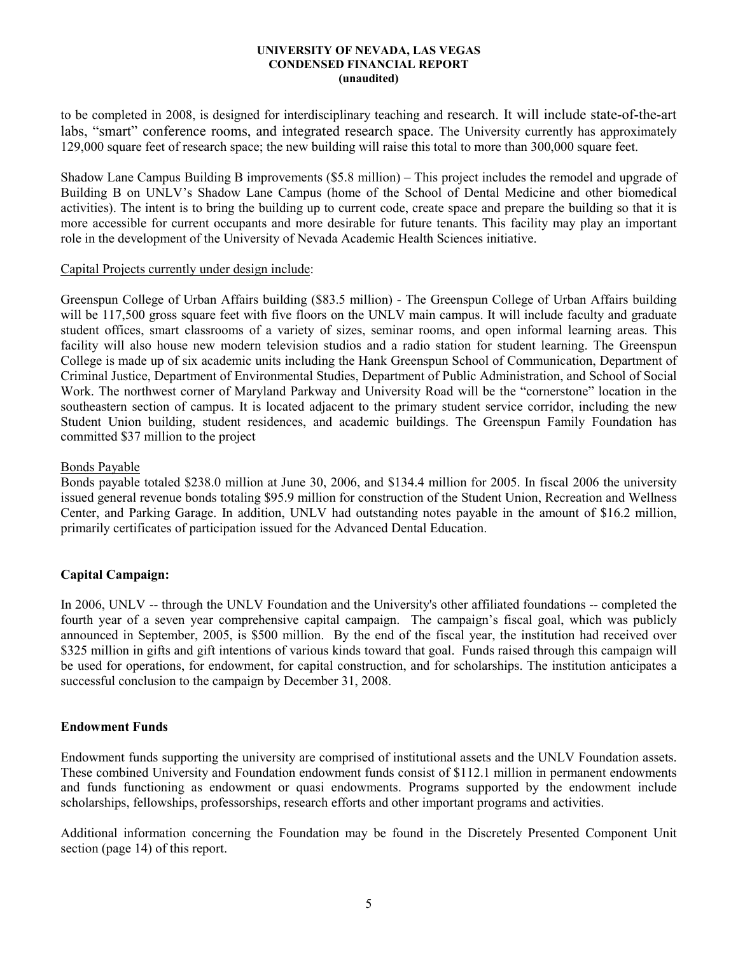to be completed in 2008, is designed for interdisciplinary teaching and research. It will include state-of-the-art labs, "smart" conference rooms, and integrated research space. The University currently has approximately 129,000 square feet of research space; the new building will raise this total to more than 300,000 square feet.

Shadow Lane Campus Building B improvements (\$5.8 million) – This project includes the remodel and upgrade of Building B on UNLV's Shadow Lane Campus (home of the School of Dental Medicine and other biomedical activities). The intent is to bring the building up to current code, create space and prepare the building so that it is more accessible for current occupants and more desirable for future tenants. This facility may play an important role in the development of the University of Nevada Academic Health Sciences initiative.

### Capital Projects currently under design include:

Greenspun College of Urban Affairs building (\$83.5 million) - The Greenspun College of Urban Affairs building will be 117,500 gross square feet with five floors on the UNLV main campus. It will include faculty and graduate student offices, smart classrooms of a variety of sizes, seminar rooms, and open informal learning areas. This facility will also house new modern television studios and a radio station for student learning. The Greenspun College is made up of six academic units including the Hank Greenspun School of Communication, Department of Criminal Justice, Department of Environmental Studies, Department of Public Administration, and School of Social Work. The northwest corner of Maryland Parkway and University Road will be the "cornerstone" location in the southeastern section of campus. It is located adjacent to the primary student service corridor, including the new Student Union building, student residences, and academic buildings. The Greenspun Family Foundation has committed \$37 million to the project

## Bonds Payable

Bonds payable totaled \$238.0 million at June 30, 2006, and \$134.4 million for 2005. In fiscal 2006 the university issued general revenue bonds totaling \$95.9 million for construction of the Student Union, Recreation and Wellness Center, and Parking Garage. In addition, UNLV had outstanding notes payable in the amount of \$16.2 million, primarily certificates of participation issued for the Advanced Dental Education.

## Capital Campaign:

In 2006, UNLV -- through the UNLV Foundation and the University's other affiliated foundations -- completed the fourth year of a seven year comprehensive capital campaign. The campaign's fiscal goal, which was publicly announced in September, 2005, is \$500 million. By the end of the fiscal year, the institution had received over \$325 million in gifts and gift intentions of various kinds toward that goal. Funds raised through this campaign will be used for operations, for endowment, for capital construction, and for scholarships. The institution anticipates a successful conclusion to the campaign by December 31, 2008.

## Endowment Funds

Endowment funds supporting the university are comprised of institutional assets and the UNLV Foundation assets. These combined University and Foundation endowment funds consist of \$112.1 million in permanent endowments and funds functioning as endowment or quasi endowments. Programs supported by the endowment include scholarships, fellowships, professorships, research efforts and other important programs and activities.

Additional information concerning the Foundation may be found in the Discretely Presented Component Unit section (page 14) of this report.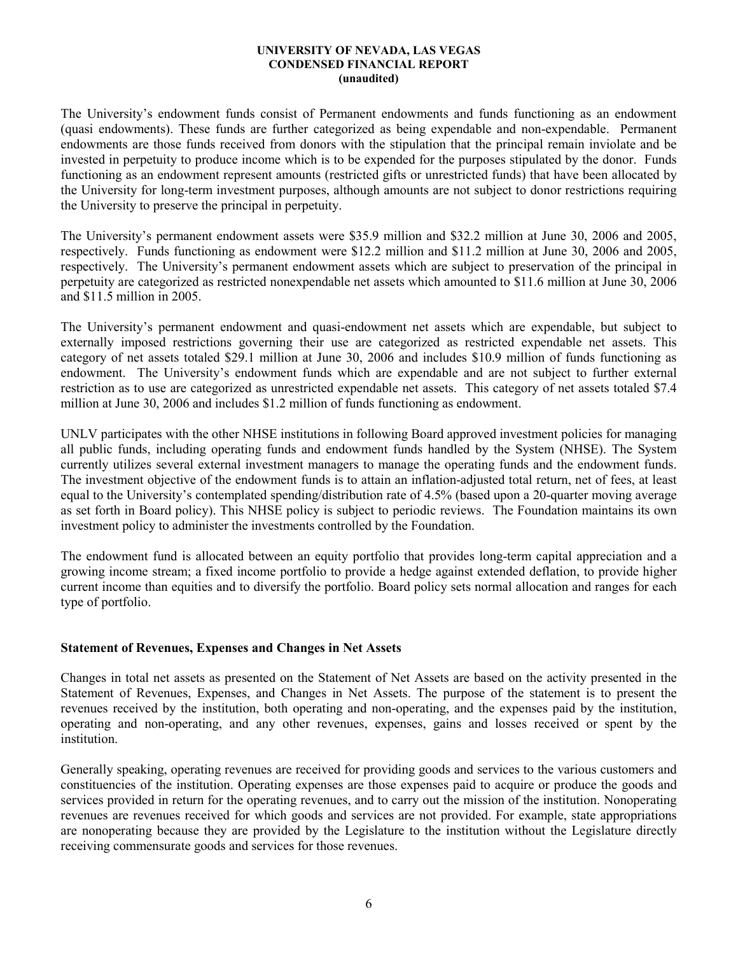The University's endowment funds consist of Permanent endowments and funds functioning as an endowment (quasi endowments). These funds are further categorized as being expendable and non-expendable. Permanent endowments are those funds received from donors with the stipulation that the principal remain inviolate and be invested in perpetuity to produce income which is to be expended for the purposes stipulated by the donor. Funds functioning as an endowment represent amounts (restricted gifts or unrestricted funds) that have been allocated by the University for long-term investment purposes, although amounts are not subject to donor restrictions requiring the University to preserve the principal in perpetuity.

The University's permanent endowment assets were \$35.9 million and \$32.2 million at June 30, 2006 and 2005, respectively. Funds functioning as endowment were \$12.2 million and \$11.2 million at June 30, 2006 and 2005, respectively. The University's permanent endowment assets which are subject to preservation of the principal in perpetuity are categorized as restricted nonexpendable net assets which amounted to \$11.6 million at June 30, 2006 and \$11.5 million in 2005.

The University's permanent endowment and quasi-endowment net assets which are expendable, but subject to externally imposed restrictions governing their use are categorized as restricted expendable net assets. This category of net assets totaled \$29.1 million at June 30, 2006 and includes \$10.9 million of funds functioning as endowment. The University's endowment funds which are expendable and are not subject to further external restriction as to use are categorized as unrestricted expendable net assets. This category of net assets totaled \$7.4 million at June 30, 2006 and includes \$1.2 million of funds functioning as endowment.

UNLV participates with the other NHSE institutions in following Board approved investment policies for managing all public funds, including operating funds and endowment funds handled by the System (NHSE). The System currently utilizes several external investment managers to manage the operating funds and the endowment funds. The investment objective of the endowment funds is to attain an inflation-adjusted total return, net of fees, at least equal to the University's contemplated spending/distribution rate of 4.5% (based upon a 20-quarter moving average as set forth in Board policy). This NHSE policy is subject to periodic reviews. The Foundation maintains its own investment policy to administer the investments controlled by the Foundation.

The endowment fund is allocated between an equity portfolio that provides long-term capital appreciation and a growing income stream; a fixed income portfolio to provide a hedge against extended deflation, to provide higher current income than equities and to diversify the portfolio. Board policy sets normal allocation and ranges for each type of portfolio.

## Statement of Revenues, Expenses and Changes in Net Assets

Changes in total net assets as presented on the Statement of Net Assets are based on the activity presented in the Statement of Revenues, Expenses, and Changes in Net Assets. The purpose of the statement is to present the revenues received by the institution, both operating and non-operating, and the expenses paid by the institution, operating and non-operating, and any other revenues, expenses, gains and losses received or spent by the institution.

Generally speaking, operating revenues are received for providing goods and services to the various customers and constituencies of the institution. Operating expenses are those expenses paid to acquire or produce the goods and services provided in return for the operating revenues, and to carry out the mission of the institution. Nonoperating revenues are revenues received for which goods and services are not provided. For example, state appropriations are nonoperating because they are provided by the Legislature to the institution without the Legislature directly receiving commensurate goods and services for those revenues.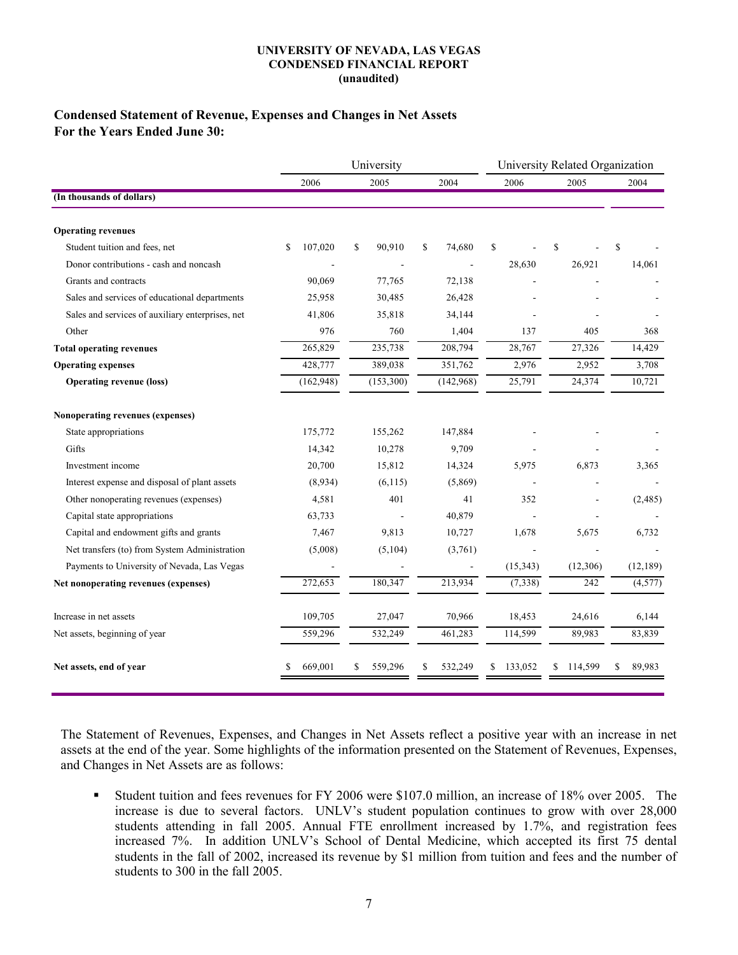## Condensed Statement of Revenue, Expenses and Changes in Net Assets For the Years Ended June 30:

|                                                  |               | University    | University Related Organization |               |               |              |  |
|--------------------------------------------------|---------------|---------------|---------------------------------|---------------|---------------|--------------|--|
|                                                  | 2006          | 2005          | 2004                            | 2006          | 2005          | 2004         |  |
| (In thousands of dollars)                        |               |               |                                 |               |               |              |  |
| <b>Operating revenues</b>                        |               |               |                                 |               |               |              |  |
| Student tuition and fees, net                    | 107,020<br>\$ | 90,910<br>S   | \$<br>74,680                    | \$            | \$            | S            |  |
| Donor contributions - cash and noncash           |               |               |                                 | 28,630        | 26,921        | 14,061       |  |
| Grants and contracts                             | 90,069        | 77,765        | 72,138                          |               |               |              |  |
| Sales and services of educational departments    | 25,958        | 30,485        | 26,428                          |               |               |              |  |
| Sales and services of auxiliary enterprises, net | 41,806        | 35,818        | 34,144                          |               |               |              |  |
| Other                                            | 976           | 760           | 1,404                           | 137           | 405           | 368          |  |
| <b>Total operating revenues</b>                  | 265,829       | 235,738       | 208,794                         | 28,767        | 27,326        | 14,429       |  |
| <b>Operating expenses</b>                        | 428,777       | 389,038       | 351,762                         | 2,976         | 2,952         | 3,708        |  |
| <b>Operating revenue (loss)</b>                  | (162, 948)    | (153,300)     | (142,968)                       | 25,791        | 24,374        | 10,721       |  |
| Nonoperating revenues (expenses)                 |               |               |                                 |               |               |              |  |
| State appropriations                             | 175,772       | 155,262       | 147,884                         |               |               |              |  |
| Gifts                                            | 14,342        | 10,278        | 9,709                           |               |               |              |  |
| Investment income                                | 20,700        | 15,812        | 14,324                          | 5,975         | 6,873         | 3,365        |  |
| Interest expense and disposal of plant assets    | (8,934)       | (6, 115)      | (5,869)                         |               |               |              |  |
| Other nonoperating revenues (expenses)           | 4,581         | 401           | 41                              | 352           |               | (2,485)      |  |
| Capital state appropriations                     | 63,733        |               | 40,879                          |               |               |              |  |
| Capital and endowment gifts and grants           | 7,467         | 9,813         | 10,727                          | 1,678         | 5,675         | 6,732        |  |
| Net transfers (to) from System Administration    | (5,008)       | (5,104)       | (3,761)                         |               |               |              |  |
| Payments to University of Nevada, Las Vegas      |               |               |                                 | (15, 343)     | (12,306)      | (12, 189)    |  |
| Net nonoperating revenues (expenses)             | 272,653       | 180,347       | 213,934                         | (7, 338)      | 242           | (4, 577)     |  |
| Increase in net assets                           | 109,705       | 27,047        | 70,966                          | 18,453        | 24,616        | 6,144        |  |
| Net assets, beginning of year                    | 559,296       | 532,249       | 461,283                         | 114,599       | 89,983        | 83,839       |  |
| Net assets, end of year                          | 669,001<br>\$ | 559,296<br>\$ | 532,249<br>\$                   | 133,052<br>\$ | 114,599<br>\$ | 89,983<br>\$ |  |

The Statement of Revenues, Expenses, and Changes in Net Assets reflect a positive year with an increase in net assets at the end of the year. Some highlights of the information presented on the Statement of Revenues, Expenses, and Changes in Net Assets are as follows:

 Student tuition and fees revenues for FY 2006 were \$107.0 million, an increase of 18% over 2005. The increase is due to several factors. UNLV's student population continues to grow with over 28,000 students attending in fall 2005. Annual FTE enrollment increased by 1.7%, and registration fees increased 7%. In addition UNLV's School of Dental Medicine, which accepted its first 75 dental students in the fall of 2002, increased its revenue by \$1 million from tuition and fees and the number of students to 300 in the fall 2005.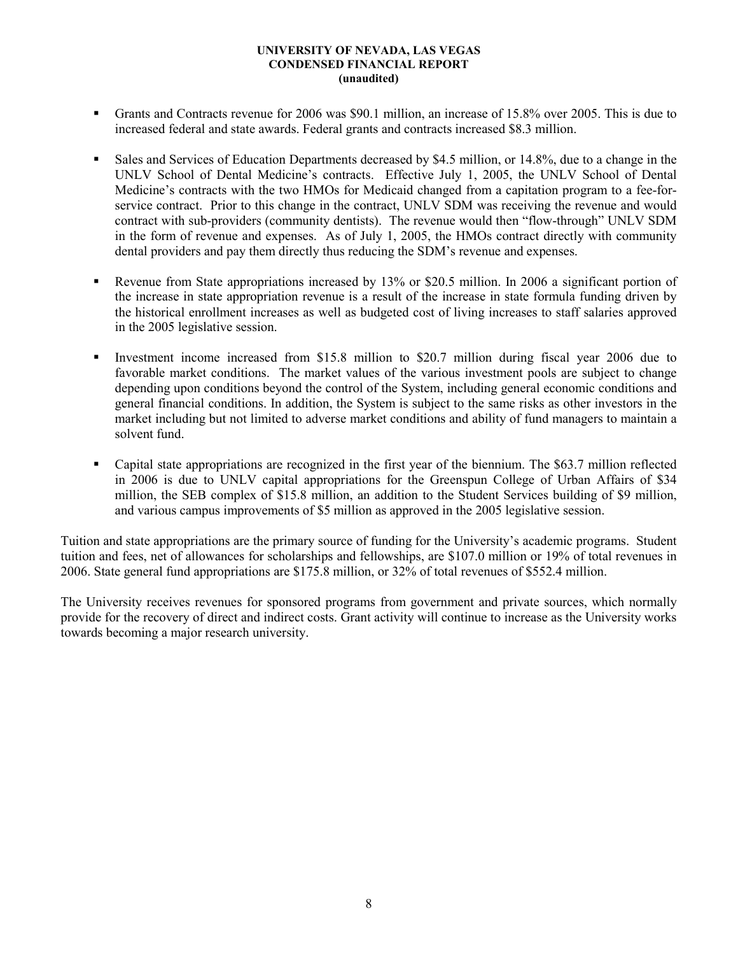- Grants and Contracts revenue for 2006 was \$90.1 million, an increase of 15.8% over 2005. This is due to increased federal and state awards. Federal grants and contracts increased \$8.3 million.
- Sales and Services of Education Departments decreased by \$4.5 million, or 14.8%, due to a change in the UNLV School of Dental Medicine's contracts. Effective July 1, 2005, the UNLV School of Dental Medicine's contracts with the two HMOs for Medicaid changed from a capitation program to a fee-forservice contract. Prior to this change in the contract, UNLV SDM was receiving the revenue and would contract with sub-providers (community dentists). The revenue would then "flow-through" UNLV SDM in the form of revenue and expenses. As of July 1, 2005, the HMOs contract directly with community dental providers and pay them directly thus reducing the SDM's revenue and expenses.
- Revenue from State appropriations increased by 13% or \$20.5 million. In 2006 a significant portion of the increase in state appropriation revenue is a result of the increase in state formula funding driven by the historical enrollment increases as well as budgeted cost of living increases to staff salaries approved in the 2005 legislative session.
- Investment income increased from \$15.8 million to \$20.7 million during fiscal year 2006 due to favorable market conditions. The market values of the various investment pools are subject to change depending upon conditions beyond the control of the System, including general economic conditions and general financial conditions. In addition, the System is subject to the same risks as other investors in the market including but not limited to adverse market conditions and ability of fund managers to maintain a solvent fund.
- Capital state appropriations are recognized in the first year of the biennium. The \$63.7 million reflected in 2006 is due to UNLV capital appropriations for the Greenspun College of Urban Affairs of \$34 million, the SEB complex of \$15.8 million, an addition to the Student Services building of \$9 million, and various campus improvements of \$5 million as approved in the 2005 legislative session.

Tuition and state appropriations are the primary source of funding for the University's academic programs. Student tuition and fees, net of allowances for scholarships and fellowships, are \$107.0 million or 19% of total revenues in 2006. State general fund appropriations are \$175.8 million, or 32% of total revenues of \$552.4 million.

The University receives revenues for sponsored programs from government and private sources, which normally provide for the recovery of direct and indirect costs. Grant activity will continue to increase as the University works towards becoming a major research university.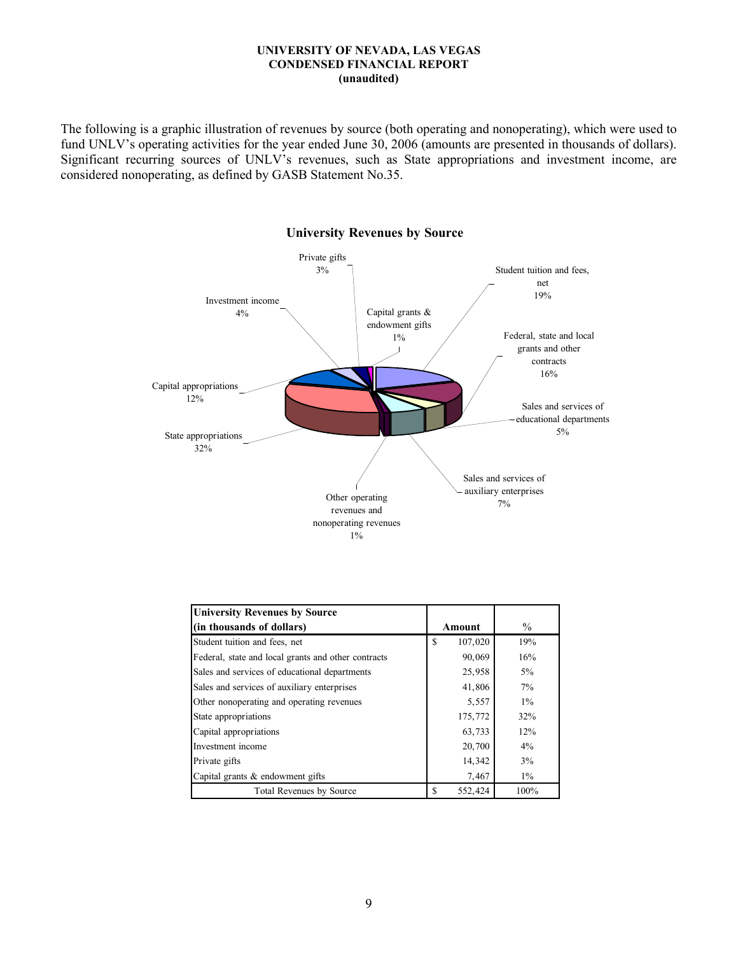The following is a graphic illustration of revenues by source (both operating and nonoperating), which were used to fund UNLV's operating activities for the year ended June 30, 2006 (amounts are presented in thousands of dollars). Significant recurring sources of UNLV's revenues, such as State appropriations and investment income, are considered nonoperating, as defined by GASB Statement No.35.



#### University Revenues by Source

| <b>University Revenues by Source</b>                |                     |       |
|-----------------------------------------------------|---------------------|-------|
| (in thousands of dollars)                           | Amount              | $\%$  |
| Student tuition and fees, net                       | 107,020<br>\$.      | 19%   |
| Federal, state and local grants and other contracts | 90,069              | 16%   |
| Sales and services of educational departments       | 25,958              | 5%    |
| Sales and services of auxiliary enterprises         | 41,806              | $7\%$ |
| Other nonoperating and operating revenues           | 5,557               | $1\%$ |
| State appropriations                                | 175,772             | 32%   |
| Capital appropriations                              | 63,733              | 12%   |
| Investment income                                   | 20,700              | 4%    |
| Private gifts                                       | 14,342              | 3%    |
| Capital grants & endowment gifts                    | 7,467               | $1\%$ |
| Total Revenues by Source                            | <b>S</b><br>552,424 | 100%  |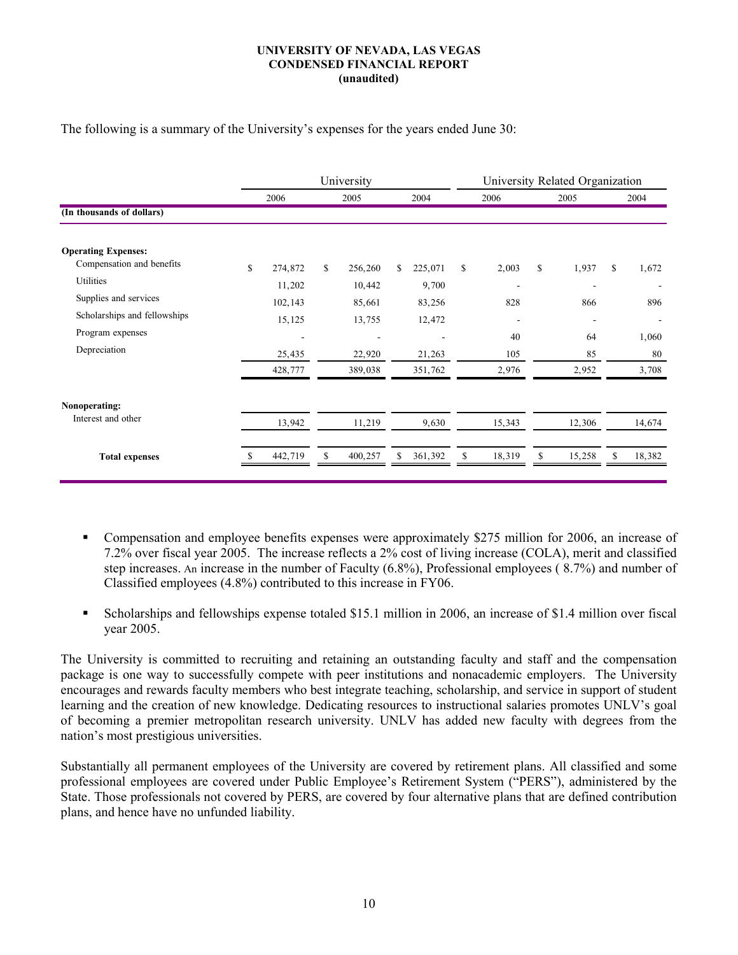The following is a summary of the University's expenses for the years ended June 30:

|                              | University           |         |    |         |      |         | University Related Organization |                          |    |                |    |        |  |
|------------------------------|----------------------|---------|----|---------|------|---------|---------------------------------|--------------------------|----|----------------|----|--------|--|
|                              | 2006<br>2004<br>2005 |         |    | 2006    | 2005 |         |                                 | 2004                     |    |                |    |        |  |
| (In thousands of dollars)    |                      |         |    |         |      |         |                                 |                          |    |                |    |        |  |
| <b>Operating Expenses:</b>   |                      |         |    |         |      |         |                                 |                          |    |                |    |        |  |
| Compensation and benefits    | \$                   | 274,872 | \$ | 256,260 | \$   | 225,071 | $\mathbb{S}$                    | 2,003                    | \$ | 1,937          | \$ | 1,672  |  |
| Utilities                    |                      | 11,202  |    | 10,442  |      | 9,700   |                                 | $\overline{\phantom{a}}$ |    |                |    |        |  |
| Supplies and services        |                      | 102,143 |    | 85,661  |      | 83,256  |                                 | 828                      |    | 866            |    | 896    |  |
| Scholarships and fellowships |                      | 15,125  |    | 13,755  |      | 12,472  |                                 | $\qquad \qquad$          |    | $\overline{a}$ |    |        |  |
| Program expenses             |                      |         |    |         |      |         |                                 | 40                       |    | 64             |    | 1,060  |  |
| Depreciation                 |                      | 25,435  |    | 22,920  |      | 21,263  |                                 | 105                      |    | 85             |    | 80     |  |
|                              |                      | 428,777 |    | 389,038 |      | 351,762 |                                 | 2,976                    |    | 2,952          |    | 3,708  |  |
| Nonoperating:                |                      |         |    |         |      |         |                                 |                          |    |                |    |        |  |
| Interest and other           |                      | 13,942  |    | 11,219  |      | 9,630   |                                 | 15,343                   |    | 12,306         |    | 14,674 |  |
| <b>Total expenses</b>        |                      | 442,719 | S  | 400,257 | ٩    | 361,392 | \$.                             | 18,319                   | \$ | 15,258         |    | 18,382 |  |

- Compensation and employee benefits expenses were approximately \$275 million for 2006, an increase of 7.2% over fiscal year 2005. The increase reflects a 2% cost of living increase (COLA), merit and classified step increases. An increase in the number of Faculty (6.8%), Professional employees ( 8.7%) and number of Classified employees (4.8%) contributed to this increase in FY06.
- Scholarships and fellowships expense totaled \$15.1 million in 2006, an increase of \$1.4 million over fiscal year 2005.

The University is committed to recruiting and retaining an outstanding faculty and staff and the compensation package is one way to successfully compete with peer institutions and nonacademic employers. The University encourages and rewards faculty members who best integrate teaching, scholarship, and service in support of student learning and the creation of new knowledge. Dedicating resources to instructional salaries promotes UNLV's goal of becoming a premier metropolitan research university. UNLV has added new faculty with degrees from the nation's most prestigious universities.

Substantially all permanent employees of the University are covered by retirement plans. All classified and some professional employees are covered under Public Employee's Retirement System ("PERS"), administered by the State. Those professionals not covered by PERS, are covered by four alternative plans that are defined contribution plans, and hence have no unfunded liability.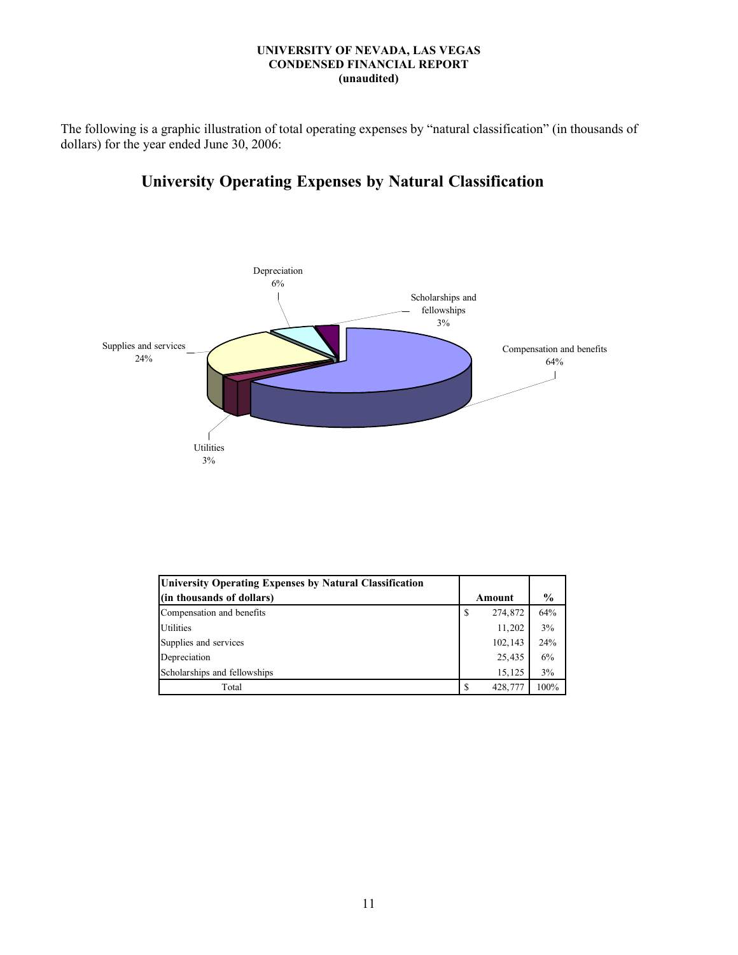The following is a graphic illustration of total operating expenses by "natural classification" (in thousands of dollars) for the year ended June 30, 2006:

# University Operating Expenses by Natural Classification



| University Operating Expenses by Natural Classification |   |         |               |
|---------------------------------------------------------|---|---------|---------------|
| (in thousands of dollars)                               |   | Amount  | $\frac{6}{9}$ |
| Compensation and benefits                               | S | 274,872 | 64%           |
| <b>Utilities</b>                                        |   | 11,202  | 3%            |
| Supplies and services                                   |   | 102,143 | 24%           |
| Depreciation                                            |   | 25,435  | 6%            |
| Scholarships and fellowships                            |   | 15,125  | 3%            |
| Total                                                   | S | 428,777 | 100%          |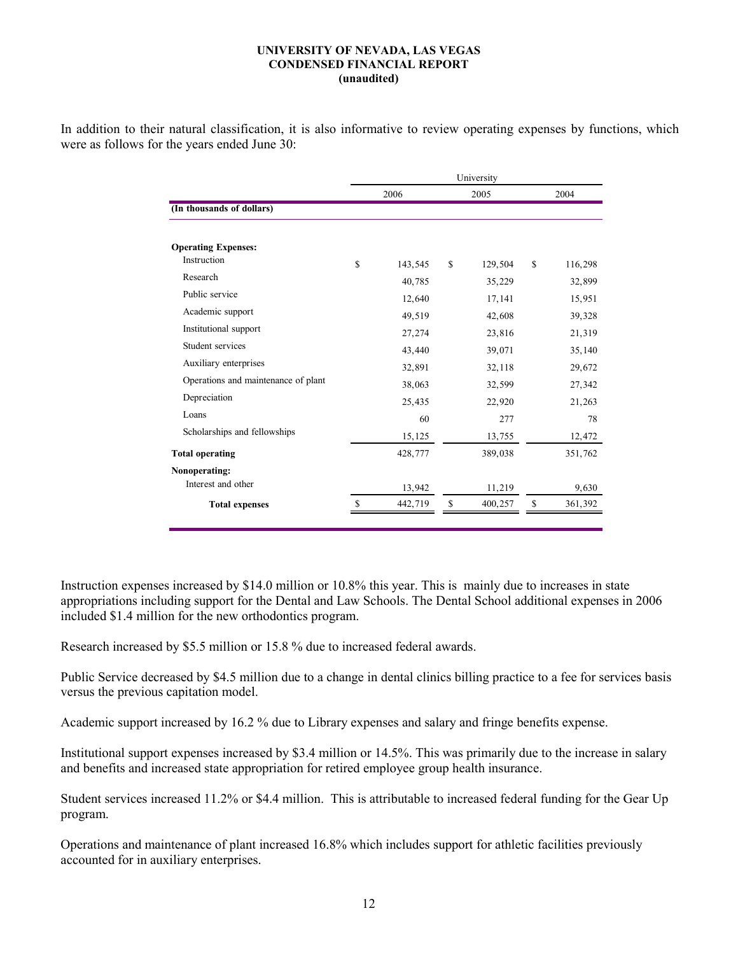In addition to their natural classification, it is also informative to review operating expenses by functions, which were as follows for the years ended June 30:

|                                     |               | University    |    |         |
|-------------------------------------|---------------|---------------|----|---------|
|                                     | 2006          | 2005          |    | 2004    |
| (In thousands of dollars)           |               |               |    |         |
| <b>Operating Expenses:</b>          |               |               |    |         |
| Instruction                         | \$<br>143,545 | \$<br>129,504 | S  | 116,298 |
| Research                            | 40,785        | 35,229        |    | 32,899  |
| Public service                      | 12,640        | 17,141        |    | 15,951  |
| Academic support                    | 49,519        | 42,608        |    | 39,328  |
| Institutional support               | 27,274        | 23,816        |    | 21,319  |
| Student services                    | 43,440        | 39,071        |    | 35,140  |
| Auxiliary enterprises               | 32,891        | 32,118        |    | 29,672  |
| Operations and maintenance of plant | 38,063        | 32,599        |    | 27,342  |
| Depreciation                        | 25,435        | 22,920        |    | 21,263  |
| Loans                               | 60            | 277           |    | 78      |
| Scholarships and fellowships        | 15,125        | 13,755        |    | 12,472  |
| <b>Total operating</b>              | 428,777       | 389,038       |    | 351,762 |
| Nonoperating:                       |               |               |    |         |
| Interest and other                  | 13,942        | 11,219        |    | 9,630   |
| <b>Total expenses</b>               | 442,719       | \$<br>400,257 | \$ | 361,392 |
|                                     |               |               |    |         |

Instruction expenses increased by \$14.0 million or 10.8% this year. This is mainly due to increases in state appropriations including support for the Dental and Law Schools. The Dental School additional expenses in 2006 included \$1.4 million for the new orthodontics program.

Research increased by \$5.5 million or 15.8 % due to increased federal awards.

Public Service decreased by \$4.5 million due to a change in dental clinics billing practice to a fee for services basis versus the previous capitation model.

Academic support increased by 16.2 % due to Library expenses and salary and fringe benefits expense.

Institutional support expenses increased by \$3.4 million or 14.5%. This was primarily due to the increase in salary and benefits and increased state appropriation for retired employee group health insurance.

Student services increased 11.2% or \$4.4 million. This is attributable to increased federal funding for the Gear Up program.

Operations and maintenance of plant increased 16.8% which includes support for athletic facilities previously accounted for in auxiliary enterprises.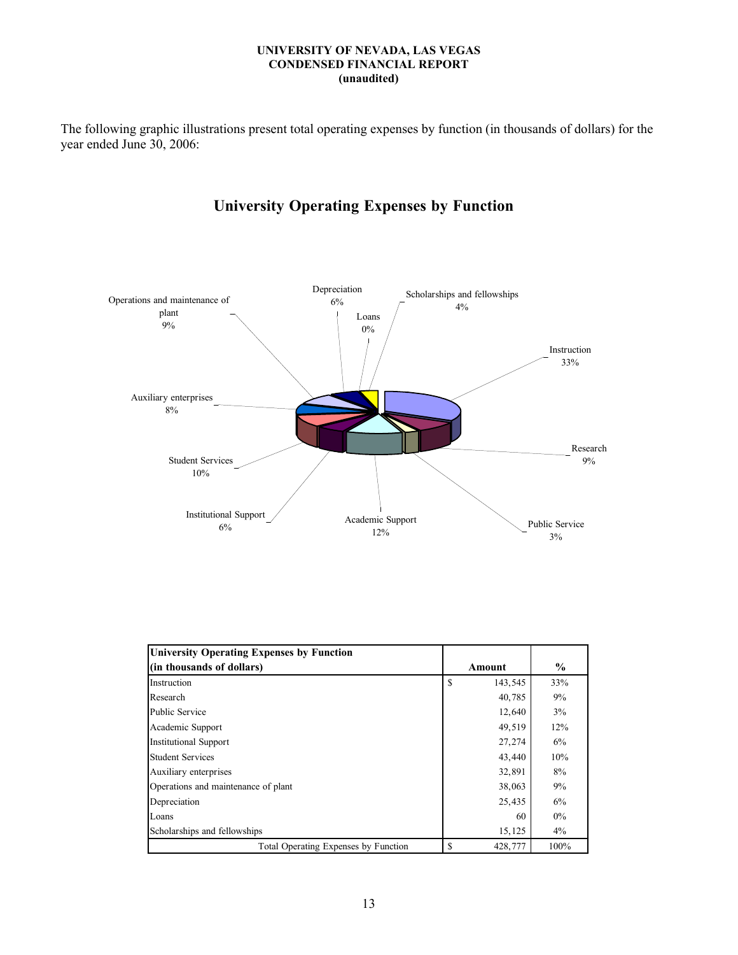The following graphic illustrations present total operating expenses by function (in thousands of dollars) for the year ended June 30, 2006:

# University Operating Expenses by Function



| <b>University Operating Expenses by Function</b> |    |         |               |
|--------------------------------------------------|----|---------|---------------|
| (in thousands of dollars)                        |    | Amount  | $\frac{0}{0}$ |
| Instruction                                      | \$ | 143,545 | 33%           |
| Research                                         |    | 40,785  | 9%            |
| <b>Public Service</b>                            |    | 12,640  | 3%            |
| Academic Support                                 |    | 49,519  | 12%           |
| <b>Institutional Support</b>                     |    | 27,274  | 6%            |
| <b>Student Services</b>                          |    | 43,440  | 10%           |
| Auxiliary enterprises                            |    | 32,891  | 8%            |
| Operations and maintenance of plant              |    | 38,063  | 9%            |
| Depreciation                                     |    | 25,435  | 6%            |
| Loans                                            |    | 60      | $0\%$         |
| Scholarships and fellowships                     |    | 15,125  | $4\%$         |
| Total Operating Expenses by Function             | S  | 428,777 | 100%          |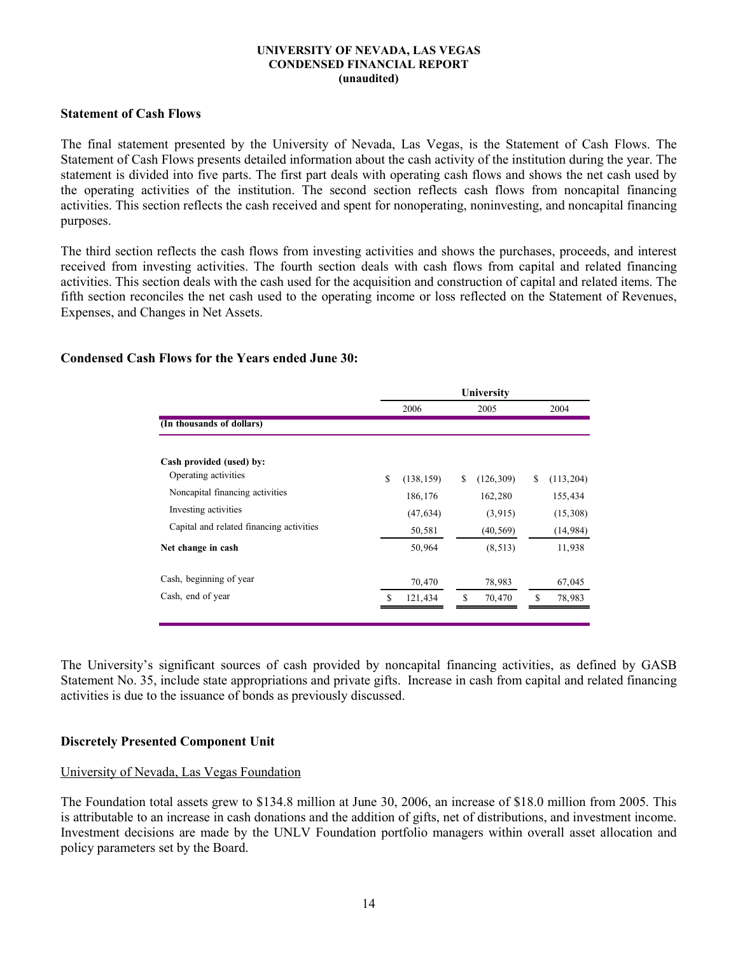### Statement of Cash Flows

The final statement presented by the University of Nevada, Las Vegas, is the Statement of Cash Flows. The Statement of Cash Flows presents detailed information about the cash activity of the institution during the year. The statement is divided into five parts. The first part deals with operating cash flows and shows the net cash used by the operating activities of the institution. The second section reflects cash flows from noncapital financing activities. This section reflects the cash received and spent for nonoperating, noninvesting, and noncapital financing purposes.

The third section reflects the cash flows from investing activities and shows the purchases, proceeds, and interest received from investing activities. The fourth section deals with cash flows from capital and related financing activities. This section deals with the cash used for the acquisition and construction of capital and related items. The fifth section reconciles the net cash used to the operating income or loss reflected on the Statement of Revenues, Expenses, and Changes in Net Assets.

## Condensed Cash Flows for the Years ended June 30:

|                                          | University |            |    |            |    |            |  |
|------------------------------------------|------------|------------|----|------------|----|------------|--|
|                                          |            | 2006       |    | 2005       |    | 2004       |  |
| (In thousands of dollars)                |            |            |    |            |    |            |  |
| Cash provided (used) by:                 |            |            |    |            |    |            |  |
| Operating activities                     | S          | (138, 159) | S  | (126, 309) | \$ | (113, 204) |  |
| Noncapital financing activities          |            | 186, 176   |    | 162,280    |    | 155,434    |  |
| Investing activities                     |            | (47, 634)  |    | (3, 915)   |    | (15,308)   |  |
| Capital and related financing activities |            | 50,581     |    | (40, 569)  |    | (14, 984)  |  |
| Net change in cash                       |            | 50,964     |    | (8, 513)   |    | 11,938     |  |
| Cash, beginning of year                  |            | 70,470     |    | 78,983     |    | 67,045     |  |
| Cash, end of year                        | \$         | 121,434    | \$ | 70,470     | \$ | 78,983     |  |
|                                          |            |            |    |            |    |            |  |

The University's significant sources of cash provided by noncapital financing activities, as defined by GASB Statement No. 35, include state appropriations and private gifts. Increase in cash from capital and related financing activities is due to the issuance of bonds as previously discussed.

## Discretely Presented Component Unit

## University of Nevada, Las Vegas Foundation

The Foundation total assets grew to \$134.8 million at June 30, 2006, an increase of \$18.0 million from 2005. This is attributable to an increase in cash donations and the addition of gifts, net of distributions, and investment income. Investment decisions are made by the UNLV Foundation portfolio managers within overall asset allocation and policy parameters set by the Board.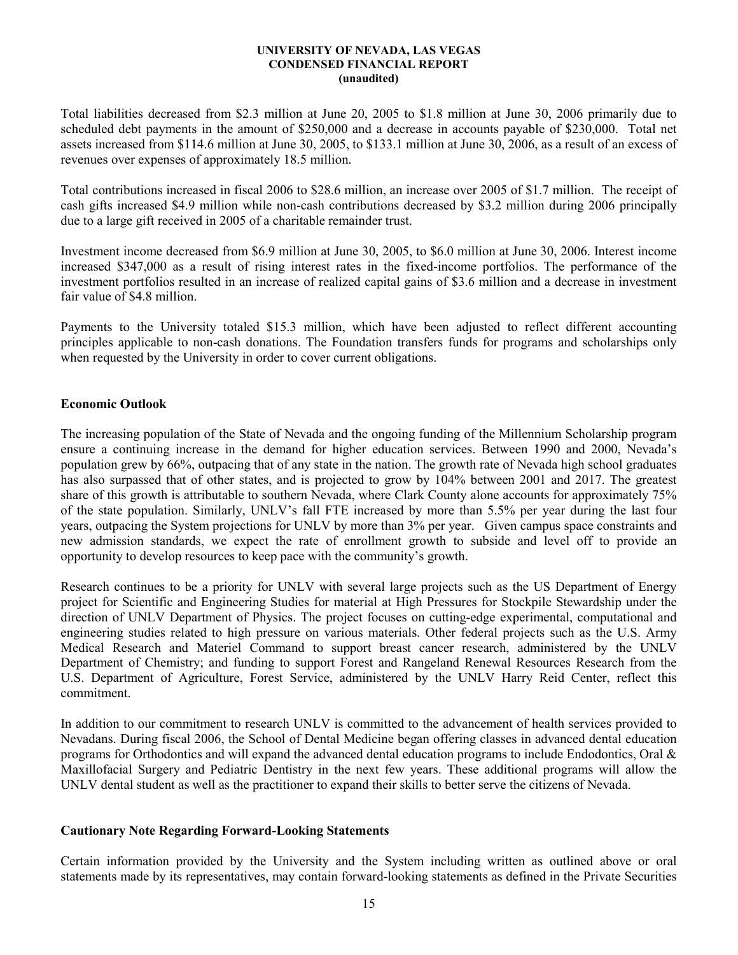Total liabilities decreased from \$2.3 million at June 20, 2005 to \$1.8 million at June 30, 2006 primarily due to scheduled debt payments in the amount of \$250,000 and a decrease in accounts payable of \$230,000. Total net assets increased from \$114.6 million at June 30, 2005, to \$133.1 million at June 30, 2006, as a result of an excess of revenues over expenses of approximately 18.5 million.

Total contributions increased in fiscal 2006 to \$28.6 million, an increase over 2005 of \$1.7 million. The receipt of cash gifts increased \$4.9 million while non-cash contributions decreased by \$3.2 million during 2006 principally due to a large gift received in 2005 of a charitable remainder trust.

Investment income decreased from \$6.9 million at June 30, 2005, to \$6.0 million at June 30, 2006. Interest income increased \$347,000 as a result of rising interest rates in the fixed-income portfolios. The performance of the investment portfolios resulted in an increase of realized capital gains of \$3.6 million and a decrease in investment fair value of \$4.8 million.

Payments to the University totaled \$15.3 million, which have been adjusted to reflect different accounting principles applicable to non-cash donations. The Foundation transfers funds for programs and scholarships only when requested by the University in order to cover current obligations.

## Economic Outlook

The increasing population of the State of Nevada and the ongoing funding of the Millennium Scholarship program ensure a continuing increase in the demand for higher education services. Between 1990 and 2000, Nevada's population grew by 66%, outpacing that of any state in the nation. The growth rate of Nevada high school graduates has also surpassed that of other states, and is projected to grow by 104% between 2001 and 2017. The greatest share of this growth is attributable to southern Nevada, where Clark County alone accounts for approximately 75% of the state population. Similarly, UNLV's fall FTE increased by more than 5.5% per year during the last four years, outpacing the System projections for UNLV by more than 3% per year. Given campus space constraints and new admission standards, we expect the rate of enrollment growth to subside and level off to provide an opportunity to develop resources to keep pace with the community's growth.

Research continues to be a priority for UNLV with several large projects such as the US Department of Energy project for Scientific and Engineering Studies for material at High Pressures for Stockpile Stewardship under the direction of UNLV Department of Physics. The project focuses on cutting-edge experimental, computational and engineering studies related to high pressure on various materials. Other federal projects such as the U.S. Army Medical Research and Materiel Command to support breast cancer research, administered by the UNLV Department of Chemistry; and funding to support Forest and Rangeland Renewal Resources Research from the U.S. Department of Agriculture, Forest Service, administered by the UNLV Harry Reid Center, reflect this commitment.

In addition to our commitment to research UNLV is committed to the advancement of health services provided to Nevadans. During fiscal 2006, the School of Dental Medicine began offering classes in advanced dental education programs for Orthodontics and will expand the advanced dental education programs to include Endodontics, Oral & Maxillofacial Surgery and Pediatric Dentistry in the next few years. These additional programs will allow the UNLV dental student as well as the practitioner to expand their skills to better serve the citizens of Nevada.

## Cautionary Note Regarding Forward-Looking Statements

Certain information provided by the University and the System including written as outlined above or oral statements made by its representatives, may contain forward-looking statements as defined in the Private Securities